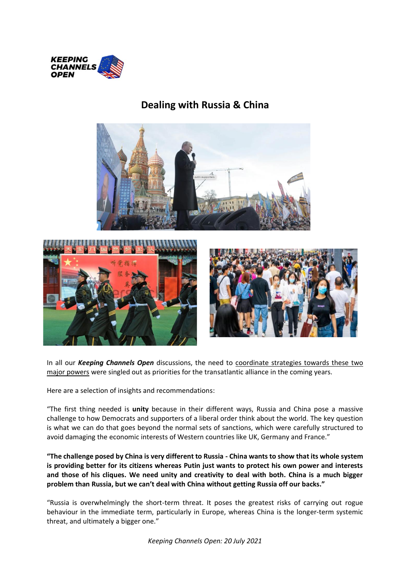

# **Dealing with Russia & China**







In all our *Keeping Channels Open* discussions, the need to coordinate strategies towards these two major powers were singled out as priorities for the transatlantic alliance in the coming years.

Here are a selection of insights and recommendations:

"The first thing needed is **unity** because in their different ways, Russia and China pose a massive challenge to how Democrats and supporters of a liberal order think about the world. The key question is what we can do that goes beyond the normal sets of sanctions, which were carefully structured to avoid damaging the economic interests of Western countries like UK, Germany and France."

**"The challenge posed by China is very different to Russia - China wants to show that its whole system is providing better for its citizens whereas Putin just wants to protect his own power and interests and those of his cliques. We need unity and creativity to deal with both. China is a much bigger problem than Russia, but we can't deal with China without getting Russia off our backs."**

"Russia is overwhelmingly the short-term threat. It poses the greatest risks of carrying out rogue behaviour in the immediate term, particularly in Europe, whereas China is the longer-term systemic threat, and ultimately a bigger one."

*Keeping Channels Open: 20 July 2021*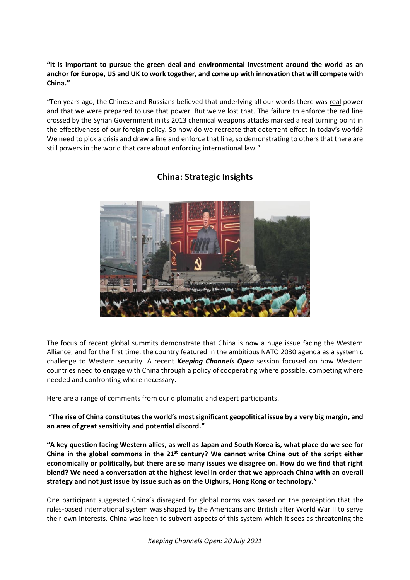**"It is important to pursue the green deal and environmental investment around the world as an anchor for Europe, US and UK to work together, and come up with innovation that will compete with China."**

"Ten years ago, the Chinese and Russians believed that underlying all our words there was real power and that we were prepared to use that power. But we've lost that. The failure to enforce the red line crossed by the Syrian Government in its 2013 chemical weapons attacks marked a real turning point in the effectiveness of our foreign policy. So how do we recreate that deterrent effect in today's world? We need to pick a crisis and draw a line and enforce that line, so demonstrating to others that there are still powers in the world that care about enforcing international law."



# **China: Strategic Insights**

The focus of recent global summits demonstrate that China is now a huge issue facing the Western Alliance, and for the first time, the country featured in the ambitious NATO 2030 agenda as a systemic challenge to Western security. A recent *Keeping Channels Open* session focused on how Western countries need to engage with China through a policy of cooperating where possible, competing where needed and confronting where necessary.

Here are a range of comments from our diplomatic and expert participants.

**"The rise of China constitutes the world's most significant geopolitical issue by a very big margin, and an area of great sensitivity and potential discord."**

**"A key question facing Western allies, as well as Japan and South Korea is, what place do we see for China in the global commons in the 21st century? We cannot write China out of the script either economically or politically, but there are so many issues we disagree on. How do we find that right blend? We need a conversation at the highest level in order that we approach China with an overall strategy and not just issue by issue such as on the Uighurs, Hong Kong or technology."**

One participant suggested China's disregard for global norms was based on the perception that the rules-based international system was shaped by the Americans and British after World War II to serve their own interests. China was keen to subvert aspects of this system which it sees as threatening the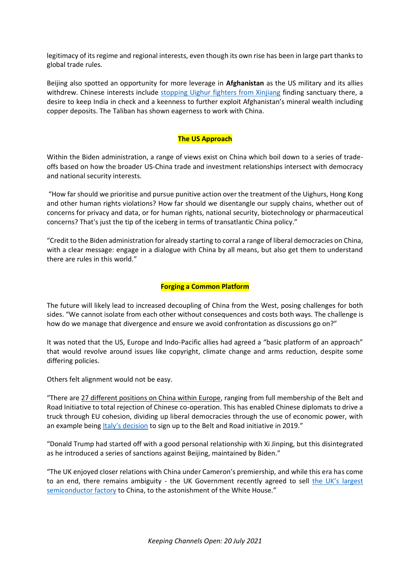legitimacy of its regime and regional interests, even though its own rise has been in large part thanks to global trade rules.

Beijing also spotted an opportunity for more leverage in **Afghanistan** as the US military and its allies withdrew. Chinese interests include [stopping Uighur fighters from Xinjiang](https://www.newsweek.com/china-seeks-taliban-promise-wage-war-uighur-fighters-afghanistan-1614032) finding sanctuary there, a desire to keep India in check and a keenness to further exploit Afghanistan's mineral wealth including copper deposits. The Taliban has shown eagerness to work with China.

## **The US Approach**

Within the Biden administration, a range of views exist on China which boil down to a series of tradeoffs based on how the broader US-China trade and investment relationships intersect with democracy and national security interests.

"How far should we prioritise and pursue punitive action over the treatment of the Uighurs, Hong Kong and other human rights violations? How far should we disentangle our supply chains, whether out of concerns for privacy and data, or for human rights, national security, biotechnology or pharmaceutical concerns? That's just the tip of the iceberg in terms of transatlantic China policy."

"Credit to the Biden administration for already starting to corral a range of liberal democracies on China, with a clear message: engage in a dialogue with China by all means, but also get them to understand there are rules in this world."

#### **Forging a Common Platform**

The future will likely lead to increased decoupling of China from the West, posing challenges for both sides. "We cannot isolate from each other without consequences and costs both ways. The challenge is how do we manage that divergence and ensure we avoid confrontation as discussions go on?"

It was noted that the US, Europe and Indo-Pacific allies had agreed a "basic platform of an approach" that would revolve around issues like copyright, climate change and arms reduction, despite some differing policies.

Others felt alignment would not be easy.

"There are 27 different positions on China within Europe, ranging from full membership of the Belt and Road Initiative to total rejection of Chinese co-operation. This has enabled Chinese diplomats to drive a truck through EU cohesion, dividing up liberal democracies through the use of economic power, with an example being [Italy's deci](https://thediplomat.com/2021/03/the-belt-and-road-in-italy-2-years-later/)sion to sign up to the Belt and Road initiative in 2019."

"Donald Trump had started off with a good personal relationship with Xi Jinping, but this disintegrated as he introduced a series of sanctions against Beijing, maintained by Biden."

"The UK enjoyed closer relations with China under Cameron's premiership, and while this era has come to an end, there remains ambiguity - the UK Government recently agreed to sell [the UK's largest](https://www.theguardian.com/business/2021/jul/05/chinese-owned-firm-acquires-uks-largest-semiconductor-manufacturer)  [semiconductor factory](https://www.theguardian.com/business/2021/jul/05/chinese-owned-firm-acquires-uks-largest-semiconductor-manufacturer) to China, to the astonishment of the White House."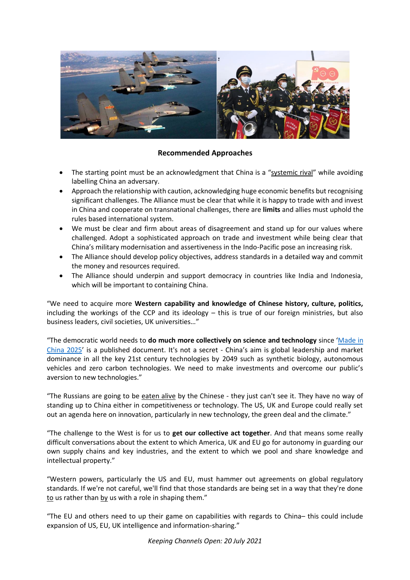

## **Recommended Approaches**

- The starting point must be an acknowledgment that China is a "systemic rival" while avoiding labelling China an adversary.
- Approach the relationship with caution, acknowledging huge economic benefits but recognising significant challenges. The Alliance must be clear that while it is happy to trade with and invest in China and cooperate on transnational challenges, there are **limits** and allies must uphold the rules based international system.
- We must be clear and firm about areas of disagreement and stand up for our values where challenged. Adopt a sophisticated approach on trade and investment while being clear that China's military modernisation and assertiveness in the Indo-Pacific pose an increasing risk.
- The Alliance should develop policy objectives, address standards in a detailed way and commit the money and resources required.
- The Alliance should underpin and support democracy in countries like India and Indonesia, which will be important to containing China.

"We need to acquire more **Western capability and knowledge of Chinese history, culture, politics,** including the workings of the CCP and its ideology – this is true of our foreign ministries, but also business leaders, civil societies, UK universities…"

"The democratic world needs to **do much more collectively on science and technology** since '[Made in](https://www.china-briefing.com/news/made-in-china-2025-explained/)  [China 2025](https://www.china-briefing.com/news/made-in-china-2025-explained/)' is a published document. It's not a secret - China's aim is global leadership and market dominance in all the key 21st century technologies by 2049 such as synthetic biology, autonomous vehicles and zero carbon technologies. We need to make investments and overcome our public's aversion to new technologies."

"The Russians are going to be eaten alive by the Chinese - they just can't see it. They have no way of standing up to China either in competitiveness or technology. The US, UK and Europe could really set out an agenda here on innovation, particularly in new technology, the green deal and the climate."

"The challenge to the West is for us to **get our collective act together**. And that means some really difficult conversations about the extent to which America, UK and EU go for autonomy in guarding our own supply chains and key industries, and the extent to which we pool and share knowledge and intellectual property."

"Western powers, particularly the US and EU, must hammer out agreements on global regulatory standards. If we're not careful, we'll find that those standards are being set in a way that they're done to us rather than by us with a role in shaping them."

"The EU and others need to up their game on capabilities with regards to China– this could include expansion of US, EU, UK intelligence and information-sharing."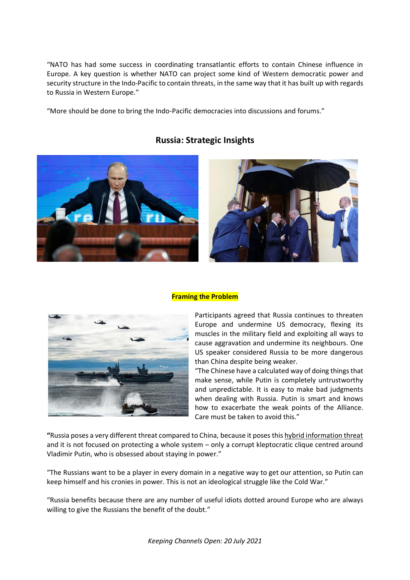"NATO has had some success in coordinating transatlantic efforts to contain Chinese influence in Europe. A key question is whether NATO can project some kind of Western democratic power and security structure in the Indo-Pacific to contain threats, in the same way that it has built up with regards to Russia in Western Europe."

"More should be done to bring the Indo-Pacific democracies into discussions and forums."



# **Russia: Strategic Insights**



#### **Framing the Problem**



Participants agreed that Russia continues to threaten Europe and undermine US democracy, flexing its muscles in the military field and exploiting all ways to cause aggravation and undermine its neighbours. One US speaker considered Russia to be more dangerous than China despite being weaker.

"The Chinese have a calculated way of doing things that make sense, while Putin is completely untrustworthy and unpredictable. It is easy to make bad judgments when dealing with Russia. Putin is smart and knows how to exacerbate the weak points of the Alliance. Care must be taken to avoid this."

**"**Russia poses a very different threat compared to China, because it poses this hybrid information threat and it is not focused on protecting a whole system – only a corrupt kleptocratic clique centred around Vladimir Putin, who is obsessed about staying in power."

"The Russians want to be a player in every domain in a negative way to get our attention, so Putin can keep himself and his cronies in power. This is not an ideological struggle like the Cold War."

"Russia benefits because there are any number of useful idiots dotted around Europe who are always willing to give the Russians the benefit of the doubt."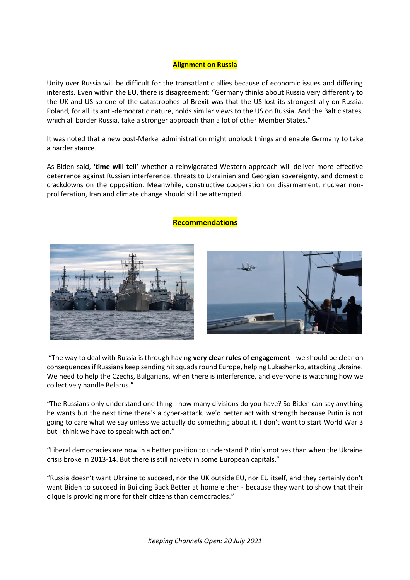#### **Alignment on Russia**

Unity over Russia will be difficult for the transatlantic allies because of economic issues and differing interests. Even within the EU, there is disagreement: "Germany thinks about Russia very differently to the UK and US so one of the catastrophes of Brexit was that the US lost its strongest ally on Russia. Poland, for all its anti-democratic nature, holds similar views to the US on Russia. And the Baltic states, which all border Russia, take a stronger approach than a lot of other Member States."

It was noted that a new post-Merkel administration might unblock things and enable Germany to take a harder stance.

As Biden said, **'time will tell'** whether a reinvigorated Western approach will deliver more effective deterrence against Russian interference, threats to Ukrainian and Georgian sovereignty, and domestic crackdowns on the opposition. Meanwhile, constructive cooperation on disarmament, nuclear nonproliferation, Iran and climate change should still be attempted.

## **Recommendations**





"The way to deal with Russia is through having **very clear rules of engagement** - we should be clear on consequences if Russians keep sending hit squads round Europe, helping Lukashenko, attacking Ukraine. We need to help the Czechs, Bulgarians, when there is interference, and everyone is watching how we collectively handle Belarus."

"The Russians only understand one thing - how many divisions do you have? So Biden can say anything he wants but the next time there's a cyber-attack, we'd better act with strength because Putin is not going to care what we say unless we actually do something about it. I don't want to start World War 3 but I think we have to speak with action."

"Liberal democracies are now in a better position to understand Putin's motives than when the Ukraine crisis broke in 2013-14. But there is still naivety in some European capitals."

"Russia doesn't want Ukraine to succeed, nor the UK outside EU, nor EU itself, and they certainly don't want Biden to succeed in Building Back Better at home either - because they want to show that their clique is providing more for their citizens than democracies."